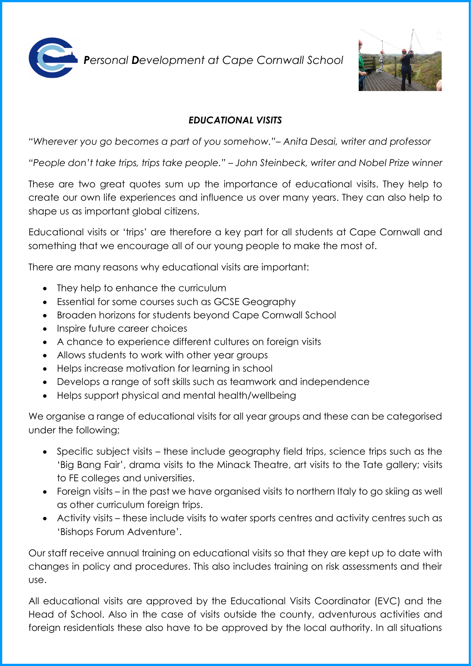

*Personal Development at Cape Cornwall School* 



## *EDUCATIONAL VISITS*

*"Wherever you go becomes a part of you somehow."– Anita Desai, writer and professor*

*"People don't take trips, trips take people." – John Steinbeck, writer and Nobel Prize winner*

These are two great quotes sum up the importance of educational visits. They help to create our own life experiences and influence us over many years. They can also help to shape us as important global citizens.

Educational visits or 'trips' are therefore a key part for all students at Cape Cornwall and something that we encourage all of our young people to make the most of.

There are many reasons why educational visits are important:

- They help to enhance the curriculum
- Essential for some courses such as GCSE Geography
- Broaden horizons for students beyond Cape Cornwall School
- Inspire future career choices
- A chance to experience different cultures on foreign visits
- Allows students to work with other year groups
- Helps increase motivation for learning in school
- Develops a range of soft skills such as teamwork and independence
- Helps support physical and mental health/wellbeing

We organise a range of educational visits for all year groups and these can be categorised under the following;

- Specific subject visits these include geography field trips, science trips such as the 'Big Bang Fair', drama visits to the Minack Theatre, art visits to the Tate gallery; visits to FE colleges and universities.
- Foreign visits in the past we have organised visits to northern Italy to go skiing as well as other curriculum foreign trips.
- Activity visits these include visits to water sports centres and activity centres such as 'Bishops Forum Adventure'.

Our staff receive annual training on educational visits so that they are kept up to date with changes in policy and procedures. This also includes training on risk assessments and their use.

All educational visits are approved by the Educational Visits Coordinator (EVC) and the Head of School. Also in the case of visits outside the county, adventurous activities and foreign residentials these also have to be approved by the local authority. In all situations